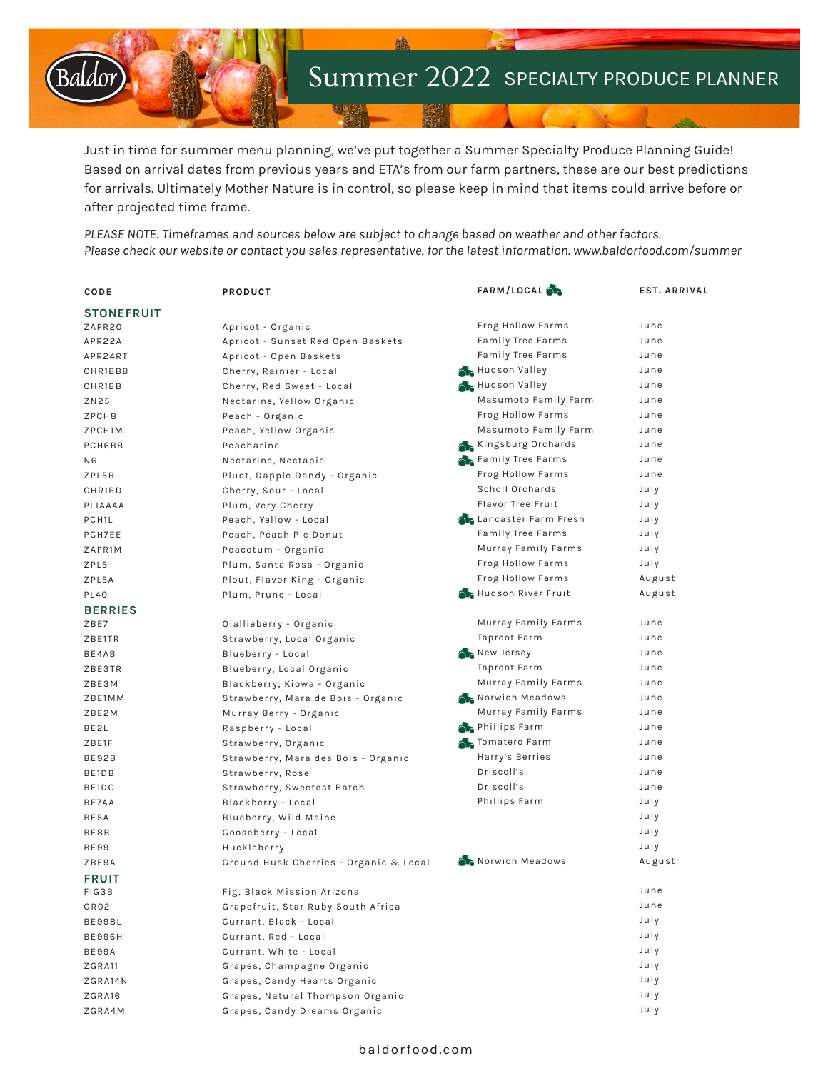

Just in time for summer menu planning, we've put together a Summer Specialty Produce Planning Guide! Based on arrival dates from previous years and ETA's from our farm partners, these are our best predictions for arrivals. Ultimately Mother Nature is in control, so please keep in mind that items could arrive before or after projected time frame.

*PLEASE NOTE: Timeframes and sources below are subject to change based on weather and other factors. Please check our website or contact you sales representative, for the latest information. www.baldorfood.com/summer*

| CODE               | PRODUCT                                | FARM/LOCAL                    | <b>EST. ARRIVAL</b> |
|--------------------|----------------------------------------|-------------------------------|---------------------|
| <b>STONEFRUIT</b>  |                                        |                               |                     |
| ZAPR20             | Apricot - Organic                      | Frog Hollow Farms             | June                |
| APR22A             | Apricot - Sunset Red Open Baskets      | Family Tree Farms             | June                |
| APR24RT            | Apricot - Open Baskets                 | Family Tree Farms             | June                |
| CHR1BBB            | Cherry, Rainier - Local                | Hudson Valley                 | June                |
| CHR1BB             | Cherry, Red Sweet - Local              | Hudson Valley                 | June                |
| ZN25               | Nectarine, Yellow Organic              | Masumoto Family Farm          | June                |
| ZPCH8              | Peach - Organic                        | Frog Hollow Farms             | June                |
| ZPCH1M             | Peach, Yellow Organic                  | Masumoto Family Farm          | June                |
| PCH6BB             | Peacharine                             | Kingsburg Orchards            | June                |
| N6                 | Nectarine, Nectapie                    | Family Tree Farms             | June                |
| ZPL5B              | Pluot, Dapple Dandy - Organic          | Frog Hollow Farms             | June                |
| CHR1BD             | Cherry, Sour - Local                   | Scholl Orchards               | July                |
| PL1AAAA            | Plum, Very Cherry                      | Flavor Tree Fruit             | July                |
| PCH <sub>1</sub> L | Peach, Yellow - Local                  | <b>A</b> Lancaster Farm Fresh | July                |
| PCH7EE             | Peach, Peach Pie Donut                 | Family Tree Farms             | July                |
| ZAPR1M             | Peacotum - Organic                     | Murray Family Farms           | July                |
| ZPL5               | Plum, Santa Rosa - Organic             | Frog Hollow Farms             | July                |
| ZPL5A              | Plout, Flavor King - Organic           | Frog Hollow Farms             | August              |
| <b>PL40</b>        | Plum, Prune - Local                    | Hudson River Fruit            | August              |
| <b>BERRIES</b>     |                                        |                               |                     |
| ZBE7               | Olallieberry - Organic                 | Murray Family Farms           | June                |
| ZBE1TR             | Strawberry, Local Organic              | Taproot Farm                  | June                |
| BE4AB              | Blueberry - Local                      | New Jersey                    | June                |
| ZBE3TR             | Blueberry, Local Organic               | Taproot Farm                  | June                |
| ZBE3M              | Blackberry, Kiowa - Organic            | Murray Family Farms           | June                |
| ZBE1MM             | Strawberry, Mara de Bois - Organic     | Norwich Meadows               | June                |
| ZBE2M              | Murray Berry - Organic                 | Murray Family Farms           | June                |
| BE2L               | Raspberry - Local                      | Phillips Farm                 | June                |
| ZBE1F              | Strawberry, Organic                    | Tomatero Farm                 | June                |
| BE92B              | Strawberry, Mara des Bois - Organic    | Harry's Berries               | June                |
| BE1DB              | Strawberry, Rose                       | Driscoll's                    | June                |
| BE1DC              | Strawberry, Sweetest Batch             | Driscoll's                    | June                |
| BE7AA              | Blackberry - Local                     | Phillips Farm                 | July                |
| BE5A               | Blueberry, Wild Maine                  |                               | July                |
| BE8B               | Gooseberry - Local                     |                               | July                |
| <b>BE99</b>        | Huckleberry                            |                               | July                |
| ZBE9A              | Ground Husk Cherries - Organic & Local | Norwich Meadows               | August              |
| <b>FRUIT</b>       |                                        |                               |                     |
| FIG3B              | Fig, Black Mission Arizona             |                               | June                |
| GR02               | Grapefruit, Star Ruby South Africa     |                               | June                |
| <b>BE998L</b>      | Currant, Black - Local                 |                               | July                |
| <b>BE996H</b>      | Currant, Red - Local                   |                               | July                |
| BE99A              | Currant, White - Local                 |                               | July                |
| ZGRA11             | Grapes, Champagne Organic              |                               | July                |
| ZGRA14N            | Grapes, Candy Hearts Organic           |                               | July                |
| ZGRA16             | Grapes, Natural Thompson Organic       |                               | July                |
| ZGRA4M             | Grapes, Candy Dreams Organic           |                               | July                |

# baldorfood.com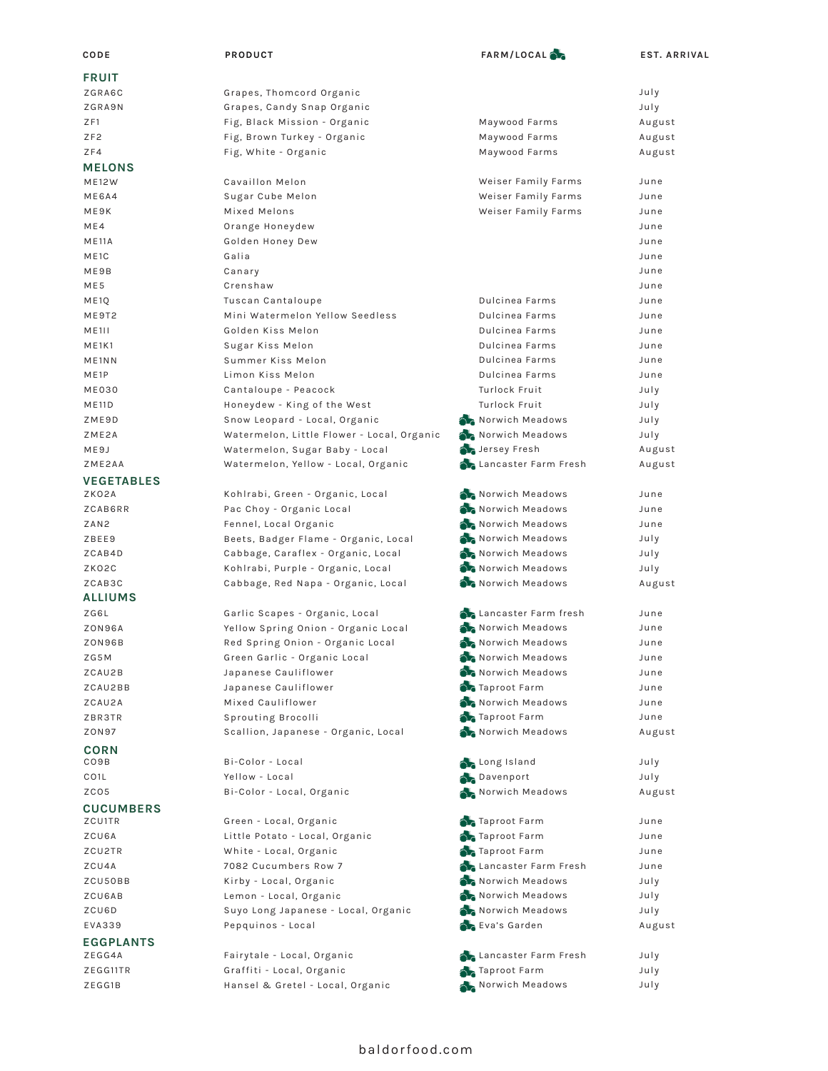| CODE                           | PRODUCT                                    | FARM/LOCAL                         | <b>EST. ARRIVAL</b> |
|--------------------------------|--------------------------------------------|------------------------------------|---------------------|
| <b>FRUIT</b>                   |                                            |                                    |                     |
| ZGRA6C                         | Grapes, Thomcord Organic                   |                                    | July                |
| ZGRA9N                         | Grapes, Candy Snap Organic                 |                                    | July                |
| ZF1                            | Fig, Black Mission - Organic               | Maywood Farms                      | August              |
| ZF <sub>2</sub>                | Fig, Brown Turkey - Organic                | Maywood Farms                      | August              |
| ZF4                            | Fig, White - Organic                       | Maywood Farms                      | August              |
| <b>MELONS</b>                  |                                            |                                    |                     |
| <b>ME12W</b>                   | Cavaillon Melon                            | Weiser Family Farms                | June                |
| ME6A4                          | Sugar Cube Melon                           | Weiser Family Farms                | June                |
| ME9K                           | Mixed Melons                               | Weiser Family Farms                | June                |
| ME4                            | Orange Honeydew                            |                                    | June                |
| <b>ME11A</b>                   | Golden Honey Dew                           |                                    | June                |
| ME1C                           | Galia                                      |                                    | June                |
| ME9B                           | Canary                                     |                                    | June                |
| ME5                            | Crenshaw                                   |                                    | June                |
| ME <sub>1Q</sub>               | Tuscan Cantaloupe                          | Dulcinea Farms                     | June                |
| ME9T2                          | Mini Watermelon Yellow Seedless            | Dulcinea Farms                     | June                |
| <b>ME1II</b>                   | Golden Kiss Melon                          | Dulcinea Farms                     | June                |
| ME1K1                          | Sugar Kiss Melon                           | Dulcinea Farms                     | June                |
| ME <sub>1</sub> N <sub>N</sub> | Summer Kiss Melon                          | Dulcinea Farms                     | June                |
| ME <sub>1</sub> P              | Limon Kiss Melon                           | Dulcinea Farms                     | June                |
| <b>ME030</b>                   | Cantaloupe - Peacock                       | Turlock Fruit                      | July                |
| <b>ME11D</b>                   | Honeydew - King of the West                | Turlock Fruit                      | July                |
| ZME9D                          | Snow Leopard - Local, Organic              | Norwich Meadows                    | July                |
| ZME2A                          | Watermelon, Little Flower - Local, Organic | Norwich Meadows                    | July                |
| ME9J                           | Watermelon, Sugar Baby - Local             | Jersey Fresh                       | August              |
| ZME2AA                         | Watermelon, Yellow - Local, Organic        | <b>Chancaster Farm Fresh</b>       | August              |
| <b>VEGETABLES</b>              |                                            |                                    |                     |
| ZKO2A                          | Kohlrabi, Green - Organic, Local           | Norwich Meadows                    | June                |
| ZCAB6RR                        | Pac Choy - Organic Local                   | Norwich Meadows                    | June                |
| ZAN <sub>2</sub>               | Fennel, Local Organic                      | Norwich Meadows                    | June                |
| ZBEE9                          | Beets, Badger Flame - Organic, Local       | Norwich Meadows                    | July                |
| ZCAB4D                         | Cabbage, Caraflex - Organic, Local         | Norwich Meadows                    | July                |
| ZKO2C                          | Kohlrabi, Purple - Organic, Local          | Norwich Meadows                    | July                |
| ZCAB3C                         | Cabbage, Red Napa - Organic, Local         | Norwich Meadows                    | August              |
| <b>ALLIUMS</b>                 |                                            |                                    |                     |
| ZG6L                           | Garlic Scapes - Organic, Local             | <b>A</b> Lancaster Farm fresh      | June                |
| <b>ZON96A</b>                  | Yellow Spring Onion - Organic Local        | Norwich Meadows                    | June                |
| ZON96B                         | Red Spring Onion - Organic Local           | Norwich Meadows<br>Norwich Meadows | June                |
| ZG5M                           | Green Garlic - Organic Local               |                                    | June                |
| ZCAU2B                         | Japanese Cauliflower                       | Norwich Meadows<br>Taproot Farm    | June                |
| ZCAU2BB<br>ZCAU2A              | Japanese Cauliflower<br>Mixed Cauliflower  | Norwich Meadows                    | June<br>June        |
| ZBR3TR                         | Sprouting Brocolli                         | Taproot Farm                       | June                |
| ZON97                          | Scallion, Japanese - Organic, Local        | Norwich Meadows                    | August              |
|                                |                                            |                                    |                     |
| <b>CORN</b><br>CO9B            | Bi-Color - Local                           | <b>A</b> Long Island               | July                |
| CO <sub>1</sub> L              | Yellow - Local                             | Davenport                          | July                |
| ZCO5                           | Bi-Color - Local, Organic                  | Norwich Meadows                    | August              |
|                                |                                            |                                    |                     |
| <b>CUCUMBERS</b><br>ZCU1TR     | Green - Local, Organic                     | Taproot Farm                       | June                |
| ZCU6A                          | Little Potato - Local, Organic             | Taproot Farm                       | June                |
| ZCU2TR                         | White - Local, Organic                     | Taproot Farm                       | June                |
| ZCU4A                          | 7082 Cucumbers Row 7                       | <b>A</b> Lancaster Farm Fresh      | June                |
| ZCU50BB                        | Kirby - Local, Organic                     | Norwich Meadows                    | July                |
| ZCU6AB                         | Lemon - Local, Organic                     | Norwich Meadows                    | July                |
| ZCU6D                          | Suyo Long Japanese - Local, Organic        | Norwich Meadows                    | July                |
| EVA339                         | Pepquinos - Local                          | Eva's Garden                       | August              |
| <b>EGGPLANTS</b>               |                                            |                                    |                     |
| ZEGG4A                         | Fairytale - Local, Organic                 | <b>A</b> Lancaster Farm Fresh      | July                |
| ZEGG11TR                       |                                            | Taproot Farm                       | July                |
|                                | Graffiti - Local, Organic                  |                                    |                     |
| ZEGG1B                         | Hansel & Gretel - Local, Organic           | Norwich Meadows                    | July                |

# baldorfood.com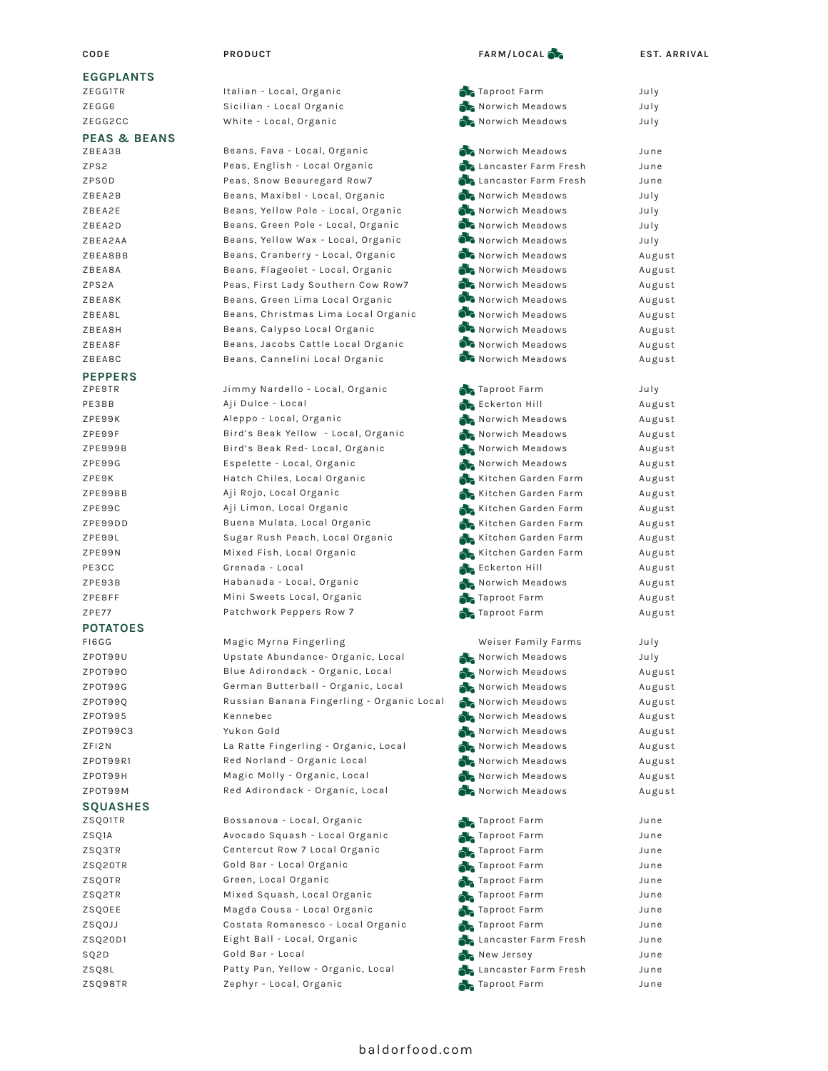### **EGGPLANTS**

ZEGG1TR ZEGG6 ZEGG2CC

#### **PEAS & BEANS**

| 7RFA3R         |
|----------------|
| ZPS2           |
| ZPSOD          |
| ZBEA2B         |
| ZBEA2E         |
| 7RFA2D         |
| ZBEA2AA        |
| <b>7RFARRR</b> |
| <b>ZBEA8A</b>  |
| <b>7PS2A</b>   |
| <b>ZBEA8K</b>  |
| <b>7RFA8I</b>  |
| <b>7RFARH</b>  |
| ZBEA8F         |

## ZBEA8C **PEPPERS**

ZPE9TR PE3BB ZPE99K ZPE99F ZPE999B ZPE99G ZPE9K ZPE99BB ZPE99C ZPE99DD ZPE99L ZPE99N PE3CC ZPE93B ZPE8FF ZPE77 FI6GG ZPOT99U ZPOT99O ZPOT99G ZPOT99Q ZPOT995 **POTATOES**

ZPOT99C3 ZFI2N ZPOT99R1 ZPOT99H ZPOT99M

#### **SQUASHES**

- ZSQ01TR
- ZSQ1A ZSQ3TR ZSQ20TR ZSQ0TR ZSQ2TR ZSQ0EE ZSQ0JJ ZSQ20D1 SQ2D

ZSQ8L ZSQ98TR

| PRODUCT |  |
|---------|--|
|         |  |

Italian - Local, Organic Sicilian - Local Organic White - Local, Organic

Beans, Fava - Local, Organic Peas, English - Local Organic Peas, Snow Beauregard Row7 Beans, Maxibel - Local, Organic Beans, Yellow Pole - Local, Organic Beans, Green Pole - Local, Organic Beans, Yellow Wax - Local, Organic Beans, Cranberry - Local, Organic Beans, Flageolet - Local, Organic Peas, First Lady Southern Cow Row7 Beans, Green Lima Local Organic Beans, Christmas Lima Local Organic Beans, Calypso Local Organic Beans, Jacobs Cattle Local Organic Beans, Cannelini Local Organic

Jimmy Nardello - Local, Organic Aji Dulce - Local Aleppo - Local, Organic Bird's Beak Yellow - Local, Organic Bird's Beak Red- Local, Organic Espelette - Local, Organic Hatch Chiles, Local Organic Aji Rojo, Local Organic Aji Limon, Local Organic Buena Mulata, Local Organic Sugar Rush Peach, Local Organic Mixed Fish, Local Organic Grenada - Local Habanada - Local, Organic Mini Sweets Local, Organic Patchwork Peppers Row 7

Magic Myrna Fingerling Upstate Abundance- Organic, Local Blue Adirondack - Organic, Local German Butterball - Organic, Local Russian Banana Fingerling - Organic Local Kennebec Yukon Gold La Ratte Fingerling - Organic, Local Red Norland - Organic Local Magic Molly - Organic, Local Red Adirondack - Organic, Local

Bossanova - Local, Organic Avocado Squash - Local Organic Centercut Row 7 Local Organic Gold Bar - Local Organic Green, Local Organic Mixed Squash, Local Organic Magda Cousa - Local Organic Costata Romanesco - Local Organic Eight Ball - Local, Organic Gold Bar - Local Patty Pan, Yellow - Organic, Local Zephyr - Local, Organic

#### **CODE PRODUCT EST. ARRIVAL FARM/LOCAL**

|    | Taproot Farm                  | July   |
|----|-------------------------------|--------|
|    | Norwich Meadows               | July   |
|    | Norwich Meadows               | July   |
|    |                               |        |
|    | Norwich Meadows               | June   |
|    | <b>Chancaster Farm Fresh</b>  | June   |
|    | <b>Chancaster Farm Fresh</b>  | June   |
|    | Norwich Meadows               | July   |
|    | Norwich Meadows               |        |
|    | Norwich Meadows               | July   |
|    |                               | July   |
|    | Norwich Meadows               | July   |
|    | Norwich Meadows               | August |
|    | Norwich Meadows               | August |
|    | Norwich Meadows               | August |
|    | Norwich Meadows               | August |
|    | Norwich Meadows               | August |
|    | Norwich Meadows               | August |
|    | Norwich Meadows               | August |
|    | Norwich Meadows               | August |
|    |                               |        |
|    | Taproot Farm                  | July   |
|    | Eckerton Hill                 | August |
|    | Norwich Meadows               | August |
|    | Norwich Meadows               | August |
|    | Norwich Meadows               | August |
|    | Norwich Meadows               | August |
|    | Kitchen Garden Farm           | August |
|    | Kitchen Garden Farm           | August |
|    | Kitchen Garden Farm           | August |
|    | Kitchen Garden Farm           | August |
|    | Kitchen Garden Farm           | August |
|    | Kitchen Garden Farm           | August |
|    | <b>Eckerton Hill</b>          |        |
|    |                               | August |
|    | Norwich Meadows               | August |
|    | Taproot Farm                  | August |
|    | Taproot Farm                  | August |
|    |                               |        |
|    | Weiser Family Farms           | July   |
|    | Norwich Meadows               | July   |
|    | Norwich Meadows               | August |
|    | Norwich Meadows               | August |
|    | Norwich Meadows               | August |
|    | Norwich Meadows               | August |
|    | Norwich Meadows               | August |
|    | Norwich Meadows               | August |
|    | Norwich Meadows               | August |
|    | Norwich Meadows               | August |
|    | Norwich Meadows               | August |
|    |                               |        |
| ó. | Taproot Farm                  | June   |
| a. | Taproot Farm                  | June   |
| Ы. | Taproot Farm                  | June   |
|    | Taproot Farm                  | June   |
|    | Taproot Farm                  | June   |
| ó. | Taproot Farm                  | June   |
| 22 | Taproot Farm                  | June   |
|    | Taproot Farm                  | June   |
|    |                               |        |
|    | <b>A</b> Lancaster Farm Fresh | June   |
|    | New Jersey                    | June   |
|    | <b>A</b> Lancaster Farm Fresh | June   |